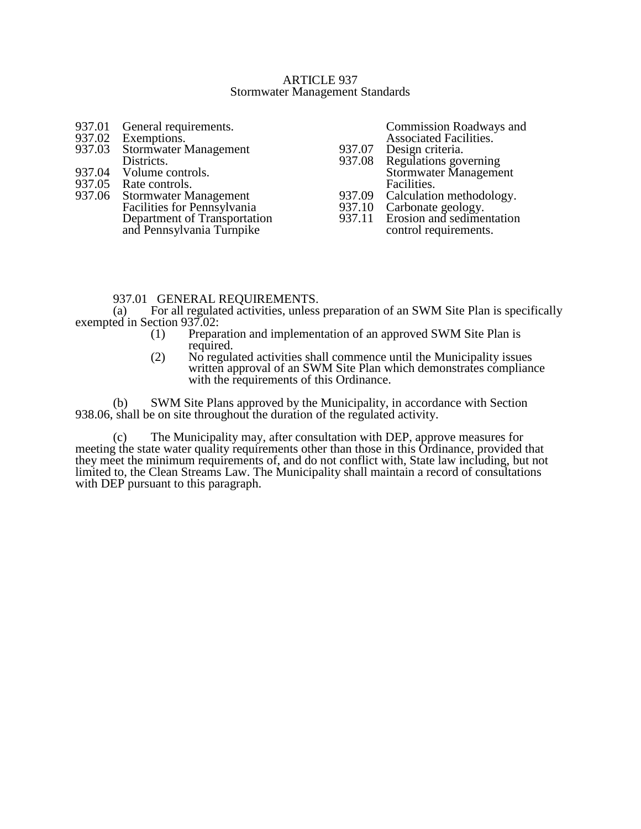#### ARTICLE 937 Stormwater Management Standards

937.01 General requirements.<br>937.02 Exemptions. 937.02 Exemptions.<br>937.03 Stormwater N Stormwater Management Districts. 937.04 Volume controls.<br>937.05 Rate controls. 937.05 Rate controls.<br>937.06 Stormwater M Stormwater Management Facilities for Pennsylvania Department of Transportation and Pennsylvania Turnpike Commission Roadways and Associated Facilities. 937.07 Design criteria.<br>937.08 Regulations gov Regulations governing Stormwater Management Facilities. 937.09 Calculation methodology.<br>937.10 Carbonate geology. 937.10 Carbonate geology.<br>937.11 Erosion and sedimen Erosion and sedimentation control requirements.

# 937.01 GENERAL REQUIREMENTS.<br>(a) For all regulated activities, unless

For all regulated activities, unless preparation of an SWM Site Plan is specifically exempted in Section 937.02:

- (1) Preparation and implementation of an approved SWM Site Plan is required.
- (2) No regulated activities shall commence until the Municipality issues written approval of an SWM Site Plan which demonstrates compliance with the requirements of this Ordinance.

(b) SWM Site Plans approved by the Municipality, in accordance with Section 938.06, shall be on site throughout the duration of the regulated activity.

(c) The Municipality may, after consultation with DEP, approve measures for meeting the state water quality requirements other than those in this Ordinance, provided that they meet the minimum requirements of, and do not conflict with, State law including, but not limited to, the Clean Streams Law. The Municipality shall maintain a record of consultations with DEP pursuant to this paragraph.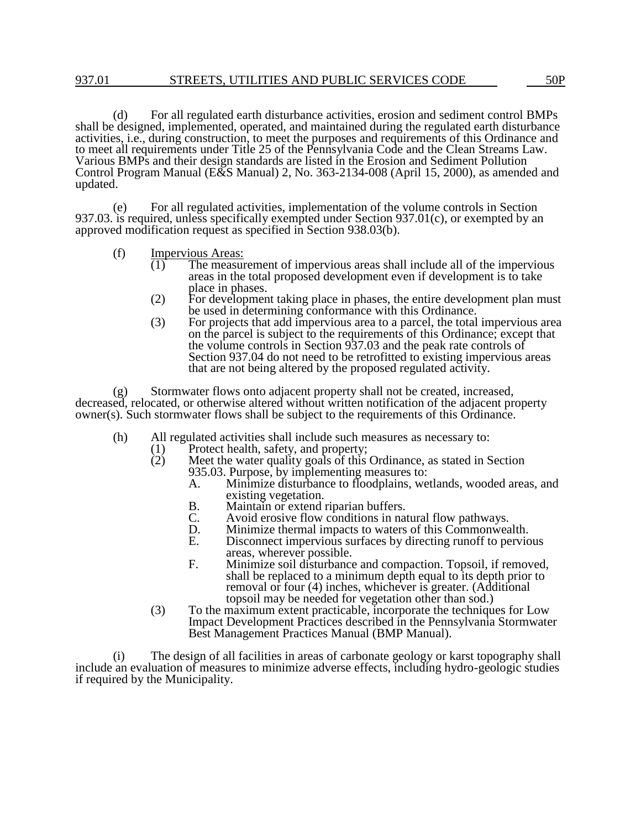(d) For all regulated earth disturbance activities, erosion and sediment control BMPs shall be designed, implemented, operated, and maintained during the regulated earth disturbance activities, i.e., during construction, to meet the purposes and requirements of this Ordinance and to meet all requirements under Title 25 of the Pennsylvania Code and the Clean Streams Law. Various BMPs and their design standards are listed in the Erosion and Sediment Pollution Control Program Manual (E&S Manual) 2, No. 363-2134-008 (April 15, 2000), as amended and updated.

(e) For all regulated activities, implementation of the volume controls in Section 937.03. is required, unless specifically exempted under Section 937.01(c), or exempted by an approved modification request as specified in Section 938.03(b).

- (f) Impervious Areas:
	- $\overline{(1)}$  The measurement of impervious areas shall include all of the impervious areas in the total proposed development even if development is to take place in phases.
	- (2) For development taking place in phases, the entire development plan must be used in determining conformance with this Ordinance.
	- (3) For projects that add impervious area to a parcel, the total impervious area on the parcel is subject to the requirements of this Ordinance; except that the volume controls in Section 937.03 and the peak rate controls of Section 937.04 do not need to be retrofitted to existing impervious areas that are not being altered by the proposed regulated activity.

(g) Stormwater flows onto adjacent property shall not be created, increased, decreased, relocated, or otherwise altered without written notification of the adjacent property owner(s). Such stormwater flows shall be subject to the requirements of this Ordinance.

- (h) All regulated activities shall include such measures as necessary to:
	- (1) Protect health, safety, and property;<br>(2) Meet the water quality goals of this
	- Meet the water quality goals of this Ordinance, as stated in Section 935.03. Purpose, by implementing measures to:<br>A. Minimize disturbance to floodplains, we
		- Minimize disturbance to floodplains, wetlands, wooded areas, and existing vegetation.
		- B. Maintain or extend riparian buffers.<br>C. Avoid erosive flow conditions in na
		- C. Avoid erosive flow conditions in natural flow pathways.
		- D. Minimize thermal impacts to waters of this Commonwealth.<br>E. Disconnect impervious surfaces by directing runoff to pervio
		- Disconnect impervious surfaces by directing runoff to pervious areas, wherever possible.
		- F. Minimize soil disturbance and compaction. Topsoil, if removed, shall be replaced to a minimum depth equal to its depth prior to removal or four (4) inches, whichever is greater. (Additional topsoil may be needed for vegetation other than sod.)
	- (3) To the maximum extent practicable, incorporate the techniques for Low Impact Development Practices described in the Pennsylvania Stormwater Best Management Practices Manual (BMP Manual).

(i) The design of all facilities in areas of carbonate geology or karst topography shall include an evaluation of measures to minimize adverse effects, including hydro-geologic studies if required by the Municipality.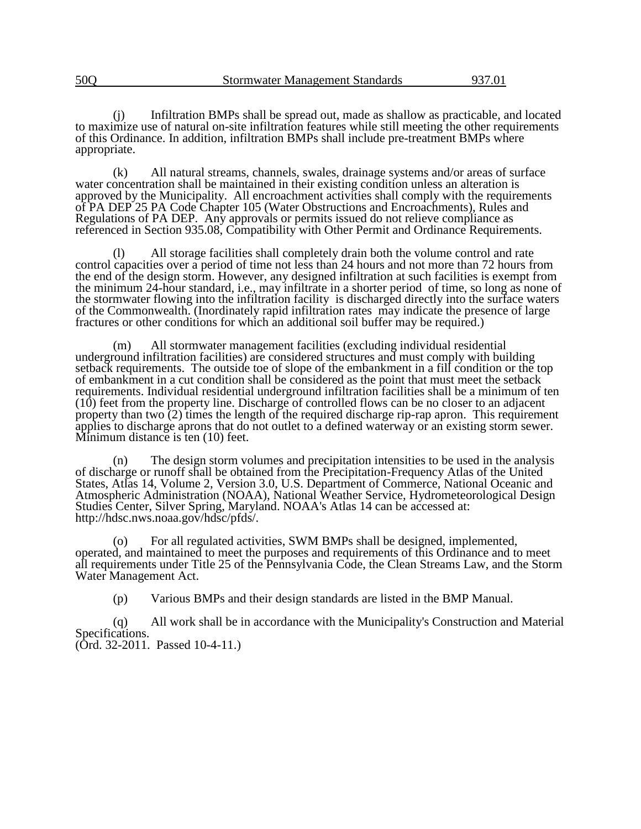(j) Infiltration BMPs shall be spread out, made as shallow as practicable, and located to maximize use of natural on-site infiltration features while still meeting the other requirements of this Ordinance. In addition, infiltration BMPs shall include pre-treatment BMPs where appropriate.

(k) All natural streams, channels, swales, drainage systems and/or areas of surface water concentration shall be maintained in their existing condition unless an alteration is approved by the Municipality. All encroachment activities shall comply with the requirements of PA DEP 25 PA Code Chapter 105 (Water Obstructions and Encroachments), Rules and Regulations of PA DEP. Any approvals or permits issued do not relieve compliance as referenced in Section 935.08, Compatibility with Other Permit and Ordinance Requirements.

(l) All storage facilities shall completely drain both the volume control and rate control capacities over a period of time not less than 24 hours and not more than 72 hours from the end of the design storm. However, any designed infiltration at such facilities is exempt from the minimum 24-hour standard, i.e., may infiltrate in a shorter period of time, so long as none of the stormwater flowing into the infiltration facility is discharged directly into the surface waters of the Commonwealth. (Inordinately rapid infiltration rates may indicate the presence of large fractures or other conditions for which an additional soil buffer may be required.)

(m) All stormwater management facilities (excluding individual residential underground infiltration facilities) are considered structures and must comply with building setback requirements. The outside toe of slope of the embankment in a fill condition or the top of embankment in a cut condition shall be considered as the point that must meet the setback requirements. Individual residential underground infiltration facilities shall be a minimum of ten (10) feet from the property line. Discharge of controlled flows can be no closer to an adjacent property than two (2) times the length of the required discharge rip-rap apron. This requirement applies to discharge aprons that do not outlet to a defined waterway or an existing storm sewer. Minimum distance is ten (10) feet.

(n) The design storm volumes and precipitation intensities to be used in the analysis of discharge or runoff shall be obtained from the Precipitation-Frequency Atlas of the United States, Atlas 14, Volume 2, Version 3.0, U.S. Department of Commerce, National Oceanic and Atmospheric Administration (NOAA), National Weather Service, Hydrometeorological Design Studies Center, Silver Spring, Maryland. NOAA's Atlas 14 can be accessed at: http://hdsc.nws.noaa.gov/hdsc/pfds/.

(o) For all regulated activities, SWM BMPs shall be designed, implemented, operated, and maintained to meet the purposes and requirements of this Ordinance and to meet all requirements under Title 25 of the Pennsylvania Code, the Clean Streams Law, and the Storm Water Management Act.

(p) Various BMPs and their design standards are listed in the BMP Manual.

(q) All work shall be in accordance with the Municipality's Construction and Material Specifications. (Ord. 32-2011. Passed 10-4-11.)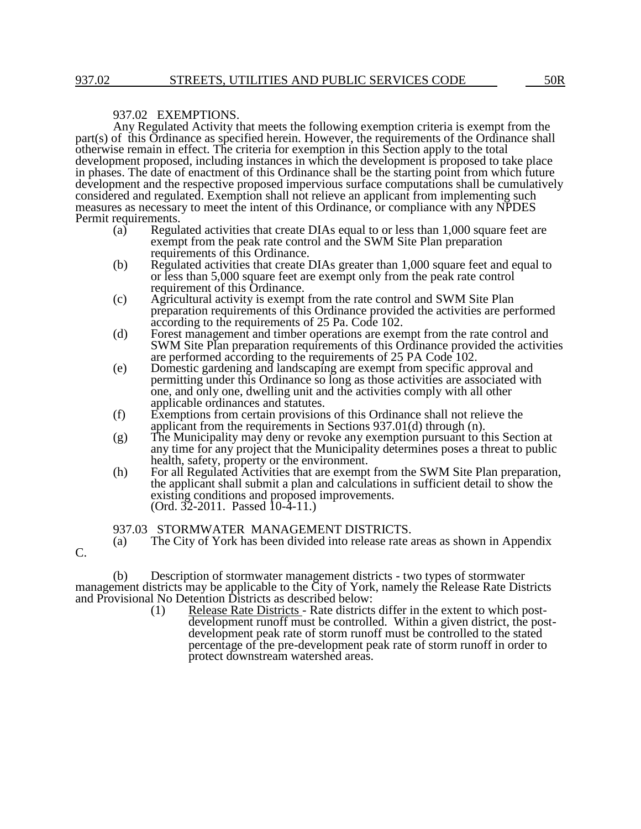C.

#### 937.02 EXEMPTIONS.

Any Regulated Activity that meets the following exemption criteria is exempt from the part(s) of this Ordinance as specified herein. However, the requirements of the Ordinance shall otherwise remain in effect. The criteria for exemption in this Section apply to the total development proposed, including instances in which the development is proposed to take place in phases. The date of enactment of this Ordinance shall be the starting point from which future development and the respective proposed impervious surface computations shall be cumulatively considered and regulated. Exemption shall not relieve an applicant from implementing such measures as necessary to meet the intent of this Ordinance, or compliance with any NPDES Permit requirements.<br>(a) Regul

- Regulated activities that create DIAs equal to or less than 1,000 square feet are exempt from the peak rate control and the SWM Site Plan preparation requirements of this Ordinance.
- (b) Regulated activities that create DIAs greater than 1,000 square feet and equal to or less than 5,000 square feet are exempt only from the peak rate control requirement of this Ordinance.
- (c) Agricultural activity is exempt from the rate control and SWM Site Plan preparation requirements of this Ordinance provided the activities are performed according to the requirements of 25 Pa. Code 102.
- (d) Forest management and timber operations are exempt from the rate control and SWM Site Plan preparation requirements of this Ordinance provided the activities are performed according to the requirements of 25 PA Code 102.
- (e) Domestic gardening and landscaping are exempt from specific approval and permitting under this Ordinance so long as those activities are associated with one, and only one, dwelling unit and the activities comply with all other applicable ordinances and statutes.
- (f) Exemptions from certain provisions of this Ordinance shall not relieve the applicant from the requirements in Sections 937.01(d) through (n).
- (g) The Municipality may deny or revoke any exemption pursuant to this Section at any time for any project that the Municipality determines poses a threat to public health, safety, property or the environment.
- (h) For all Regulated Activities that are exempt from the SWM Site Plan preparation, the applicant shall submit a plan and calculations in sufficient detail to show the existing conditions and proposed improvements. (Ord. 32-2011. Passed 10-4-11.)

#### 937.03 STORMWATER MANAGEMENT DISTRICTS.

(a) The City of York has been divided into release rate areas as shown in Appendix

(b) Description of stormwater management districts - two types of stormwater management districts may be applicable to the City of York, namely the Release Rate Districts and Provisional No Detention Districts as described below:

(1) Release Rate Districts - Rate districts differ in the extent to which postdevelopment runoff must be controlled. Within a given district, the postdevelopment peak rate of storm runoff must be controlled to the stated percentage of the pre-development peak rate of storm runoff in order to protect downstream watershed areas.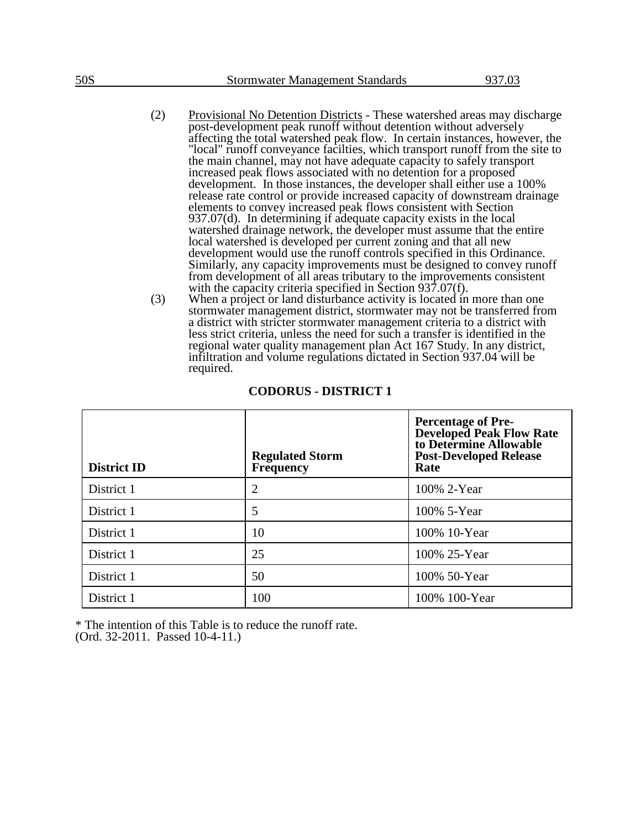- (2) Provisional No Detention Districts These watershed areas may discharge post-development peak runoff without detention without adversely affecting the total watershed peak flow. In certain instances, however, the "local" runoff conveyance facilties, which transport runoff from the site to the main channel, may not have adequate capacity to safely transport increased peak flows associated with no detention for a proposed development. In those instances, the developer shall either use a 100% release rate control or provide increased capacity of downstream drainage elements to convey increased peak flows consistent with Section 937.07(d). In determining if adequate capacity exists in the local watershed drainage network, the developer must assume that the entire local watershed is developed per current zoning and that all new development would use the runoff controls specified in this Ordinance. Similarly, any capacity improvements must be designed to convey runoff from development of all areas tributary to the improvements consistent with the capacity criteria specified in Section 937.07(f).
- (3) When a project or land disturbance activity is located in more than one stormwater management district, stormwater may not be transferred from a district with stricter stormwater management criteria to a district with less strict criteria, unless the need for such a transfer is identified in the regional water quality management plan Act 167 Study. In any district, infiltration and volume regulations dictated in Section 937.04 will be required.

| <b>District ID</b> | <b>Regulated Storm</b><br>Frequency | <b>Percentage of Pre-</b><br><b>Developed Peak Flow Rate</b><br>to Determine Allowable<br><b>Post-Developed Release</b><br>Rate |
|--------------------|-------------------------------------|---------------------------------------------------------------------------------------------------------------------------------|
| District 1         | $\overline{2}$                      | 100% 2-Year                                                                                                                     |
| District 1         | 5                                   | 100% 5-Year                                                                                                                     |
| District 1         | 10                                  | 100% 10-Year                                                                                                                    |
| District 1         | 25                                  | 100% 25-Year                                                                                                                    |
| District 1         | 50                                  | 100% 50-Year                                                                                                                    |
| District 1         | 100                                 | 100% 100-Year                                                                                                                   |

#### **CODORUS - DISTRICT 1**

\* The intention of this Table is to reduce the runoff rate.

(Ord. 32-2011. Passed 10-4-11.)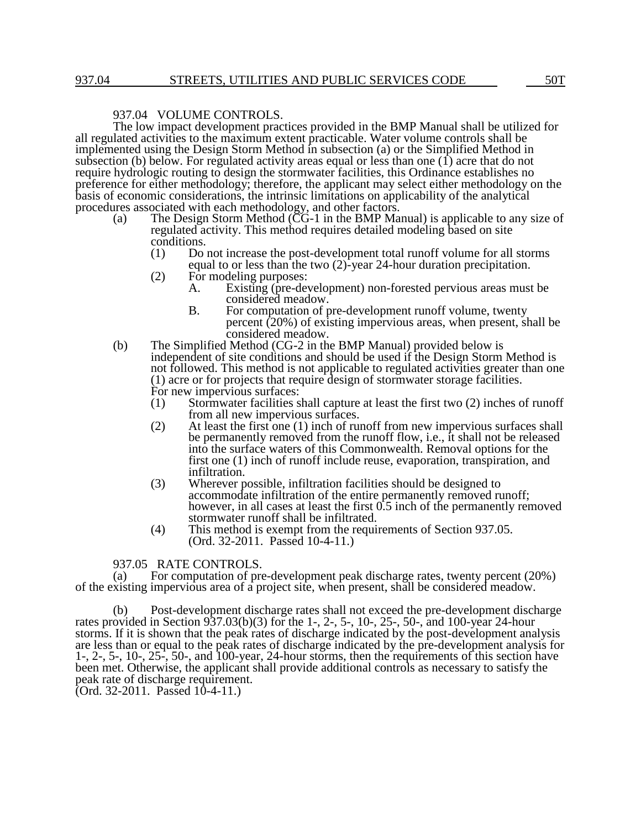# 937.04 VOLUME CONTROLS.

The low impact development practices provided in the BMP Manual shall be utilized for all regulated activities to the maximum extent practicable. Water volume controls shall be implemented using the Design Storm Method in subsection (a) or the Simplified Method in subsection (b) below. For regulated activity areas equal or less than one  $(1)$  acre that do not require hydrologic routing to design the stormwater facilities, this Ordinance establishes no preference for either methodology; therefore, the applicant may select either methodology on the basis of economic considerations, the intrinsic limitations on applicability of the analytical procedures associated with each methodology, and other factors.

- (a) The Design Storm Method (CG-1 in the BMP Manual) is applicable to any size of regulated activity. This method requires detailed modeling based on site conditions.
	- (1) Do not increase the post-development total runoff volume for all storms equal to or less than the two (2)-year 24-hour duration precipitation.
	- (2) For modeling purposes:<br>A. Existing (pre-dev
		- Existing (pre-development) non-forested pervious areas must be considered meadow.
			- B. For computation of pre-development runoff volume, twenty percent (20%) of existing impervious areas, when present, shall be considered meadow.
- (b) The Simplified Method (CG-2 in the BMP Manual) provided below is independent of site conditions and should be used if the Design Storm Method is not followed. This method is not applicable to regulated activities greater than one (1) acre or for projects that require design of stormwater storage facilities. For new impervious surfaces:
	- (1) Stormwater facilities shall capture at least the first two (2) inches of runoff from all new impervious surfaces.
	- (2) At least the first one (1) inch of runoff from new impervious surfaces shall be permanently removed from the runoff flow, i.e., it shall not be released into the surface waters of this Commonwealth. Removal options for the first one (1) inch of runoff include reuse, evaporation, transpiration, and infiltration.
	- (3) Wherever possible, infiltration facilities should be designed to accommodate infiltration of the entire permanently removed runoff; however, in all cases at least the first  $0.5$  inch of the permanently removed stormwater runoff shall be infiltrated.
	- (4) This method is exempt from the requirements of Section 937.05. (Ord. 32-2011. Passed 10-4-11.)

## 937.05 RATE CONTROLS.

(a) For computation of pre-development peak discharge rates, twenty percent (20%) of the existing impervious area of a project site, when present, shall be considered meadow.

(b) Post-development discharge rates shall not exceed the pre-development discharge rates provided in Section 937.03(b)(3) for the 1-, 2-, 5-, 10-, 25-, 50-, and 100-year 24-hour storms. If it is shown that the peak rates of discharge indicated by the post-development analysis are less than or equal to the peak rates of discharge indicated by the pre-development analysis for 1-, 2-, 5-, 10-, 25-, 50-, and 100-year, 24-hour storms, then the requirements of this section have been met. Otherwise, the applicant shall provide additional controls as necessary to satisfy the peak rate of discharge requirement.

(Ord. 32-2011. Passed 10-4-11.)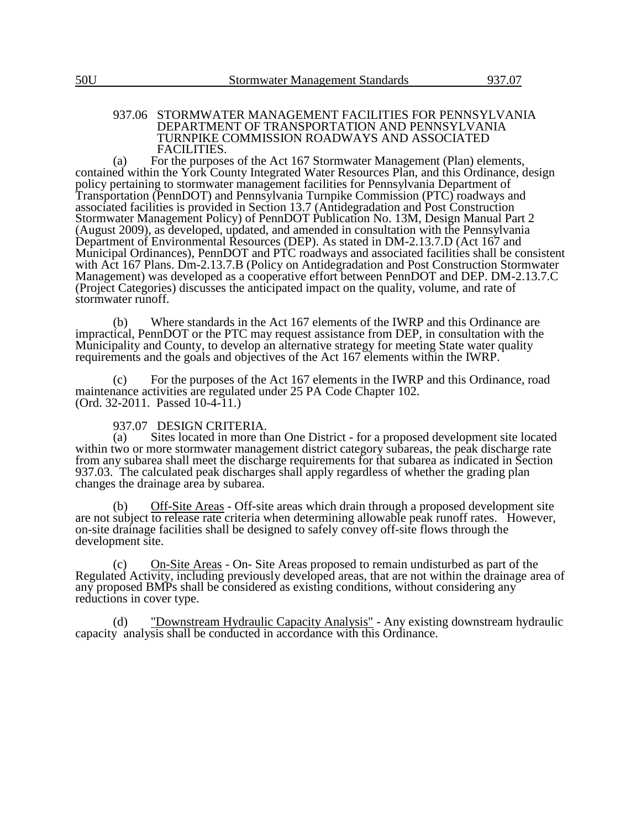#### 937.06 STORMWATER MANAGEMENT FACILITIES FOR PENNSYLVANIA DEPARTMENT OF TRANSPORTATION AND PENNSYLVANIA TURNPIKE COMMISSION ROADWAYS AND ASSOCIATED FACILITIES.

(a) For the purposes of the Act 167 Stormwater Management (Plan) elements, contained within the York County Integrated Water Resources Plan, and this Ordinance, design policy pertaining to stormwater management facilities for Pennsylvania Department of Transportation (PennDOT) and Pennsylvania Turnpike Commission (PTC) roadways and associated facilities is provided in Section 13.7 (Antidegradation and Post Construction Stormwater Management Policy) of PennDOT Publication No. 13M, Design Manual Part 2 (August 2009), as developed, updated, and amended in consultation with the Pennsylvania Department of Environmental Resources (DEP). As stated in DM-2.13.7.D (Act 167 and Municipal Ordinances), PennDOT and PTC roadways and associated facilities shall be consistent with Act 167 Plans. Dm-2.13.7.B (Policy on Antidegradation and Post Construction Stormwater Management) was developed as a cooperative effort between PennDOT and DEP. DM-2.13.7.C (Project Categories) discusses the anticipated impact on the quality, volume, and rate of stormwater runoff.

(b) Where standards in the Act 167 elements of the IWRP and this Ordinance are impractical, PennDOT or the PTC may request assistance from DEP, in consultation with the Municipality and County, to develop an alternative strategy for meeting State water quality requirements and the goals and objectives of the Act 167 elements within the IWRP.

(c) For the purposes of the Act 167 elements in the IWRP and this Ordinance, road maintenance activities are regulated under 25 PA Code Chapter 102. (Ord. 32-2011. Passed 10-4-11.)

# 937.07 DESIGN CRITERIA.<br>(a) Sites located in more the

Sites located in more than One District - for a proposed development site located within two or more stormwater management district category subareas, the peak discharge rate from any subarea shall meet the discharge requirements for that subarea as indicated in Section 937.03. The calculated peak discharges shall apply regardless of whether the grading plan changes the drainage area by subarea.

Off-Site Areas - Off-site areas which drain through a proposed development site are not subject to release rate criteria when determining allowable peak runoff rates. However, on-site drainage facilities shall be designed to safely convey off-site flows through the development site.

(c) On-Site Areas - On- Site Areas proposed to remain undisturbed as part of the Regulated Activity, including previously developed areas, that are not within the drainage area of any proposed BMPs shall be considered as existing conditions, without considering any reductions in cover type.

(d) "Downstream Hydraulic Capacity Analysis" - Any existing downstream hydraulic capacity analysis shall be conducted in accordance with this Ordinance.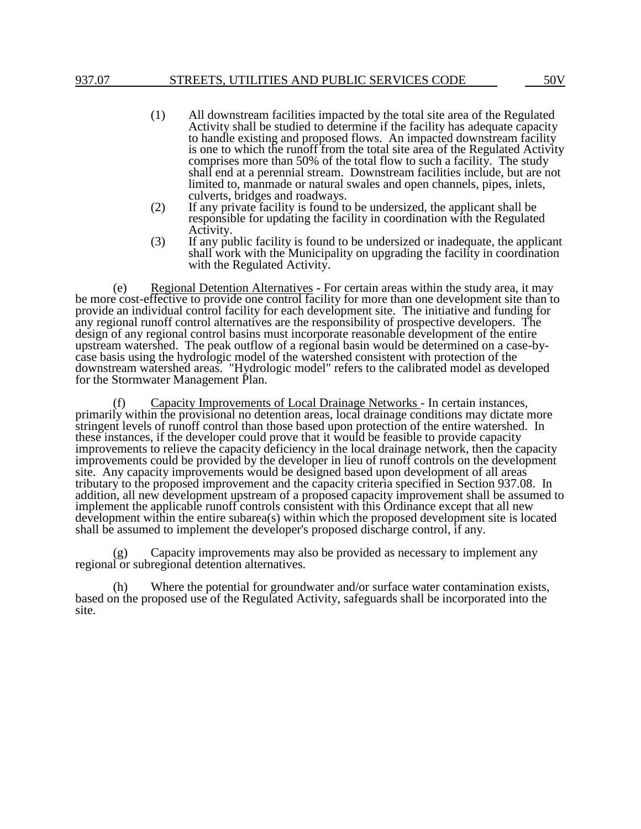## 937.07 STREETS, UTILITIES AND PUBLIC SERVICES CODE 50V

- (1) All downstream facilities impacted by the total site area of the Regulated Activity shall be studied to determine if the facility has adequate capacity to handle existing and proposed flows. An impacted downstream facility is one to which the runoff from the total site area of the Regulated Activity comprises more than 50% of the total flow to such a facility. The study shall end at a perennial stream. Downstream facilities include, but are not limited to, manmade or natural swales and open channels, pipes, inlets, culverts, bridges and roadways.
- (2) If any private facility is found to be undersized, the applicant shall be responsible for updating the facility in coordination with the Regulated Activity.
- (3) If any public facility is found to be undersized or inadequate, the applicant shall work with the Municipality on upgrading the facility in coordination with the Regulated Activity.

(e) Regional Detention Alternatives - For certain areas within the study area, it may be more cost-effective to provide one control facility for more than one development site than to provide an individual control facility for each development site. The initiative and funding for any regional runoff control alternatives are the responsibility of prospective developers. The design of any regional control basins must incorporate reasonable development of the entire upstream watershed. The peak outflow of a regional basin would be determined on a case-bycase basis using the hydrologic model of the watershed consistent with protection of the downstream watershed areas. "Hydrologic model" refers to the calibrated model as developed for the Stormwater Management Plan.

(f) Capacity Improvements of Local Drainage Networks - In certain instances, primarily within the provisional no detention areas, local drainage conditions may dictate more stringent levels of runoff control than those based upon protection of the entire watershed. In these instances, if the developer could prove that it would be feasible to provide capacity improvements to relieve the capacity deficiency in the local drainage network, then the capacity improvements could be provided by the developer in lieu of runoff controls on the development site. Any capacity improvements would be designed based upon development of all areas tributary to the proposed improvement and the capacity criteria specified in Section 937.08. In addition, all new development upstream of a proposed capacity improvement shall be assumed to implement the applicable runoff controls consistent with this Ordinance except that all new development within the entire subarea(s) within which the proposed development site is located shall be assumed to implement the developer's proposed discharge control, if any.

(g) Capacity improvements may also be provided as necessary to implement any regional or subregional detention alternatives.

(h) Where the potential for groundwater and/or surface water contamination exists, based on the proposed use of the Regulated Activity, safeguards shall be incorporated into the site.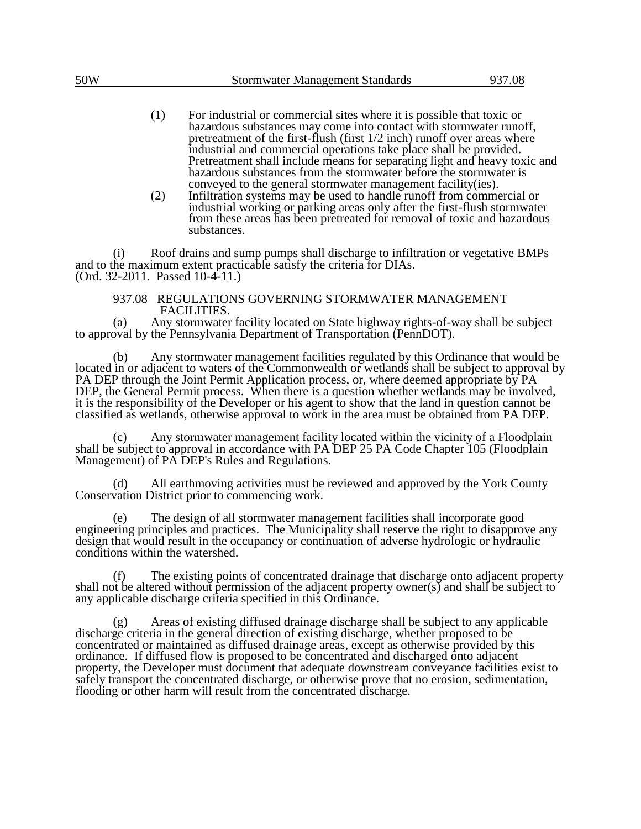- (1) For industrial or commercial sites where it is possible that toxic or hazardous substances may come into contact with stormwater runoff, pretreatment of the first-flush (first 1/2 inch) runoff over areas where industrial and commercial operations take place shall be provided. Pretreatment shall include means for separating light and heavy toxic and hazardous substances from the stormwater before the stormwater is conveyed to the general stormwater management facility(ies).
- (2) Infiltration systems may be used to handle runoff from commercial or industrial working or parking areas only after the first-flush stormwater from these areas has been pretreated for removal of toxic and hazardous substances.

(i) Roof drains and sump pumps shall discharge to infiltration or vegetative BMPs and to the maximum extent practicable satisfy the criteria for DIAs. (Ord. 32-2011. Passed 10-4-11.)

## 937.08 REGULATIONS GOVERNING STORMWATER MANAGEMENT FACILITIES.

(a) Any stormwater facility located on State highway rights-of-way shall be subject to approval by the Pennsylvania Department of Transportation (PennDOT).

(b) Any stormwater management facilities regulated by this Ordinance that would be located in or adjacent to waters of the Commonwealth or wetlands shall be subject to approval by PA DEP through the Joint Permit Application process, or, where deemed appropriate by PA DEP, the General Permit process. When there is a question whether wetlands may be involved, it is the responsibility of the Developer or his agent to show that the land in question cannot be classified as wetlands, otherwise approval to work in the area must be obtained from PA DEP.

Any stormwater management facility located within the vicinity of a Floodplain shall be subject to approval in accordance with PA DEP 25 PA Code Chapter 105 (Floodplain Management) of PA DEP's Rules and Regulations.

(d) All earthmoving activities must be reviewed and approved by the York County Conservation District prior to commencing work.

(e) The design of all stormwater management facilities shall incorporate good engineering principles and practices. The Municipality shall reserve the right to disapprove any design that would result in the occupancy or continuation of adverse hydrologic or hydraulic conditions within the watershed.

(f) The existing points of concentrated drainage that discharge onto adjacent property shall not be altered without permission of the adjacent property owner(s) and shall be subject to any applicable discharge criteria specified in this Ordinance.

(g) Areas of existing diffused drainage discharge shall be subject to any applicable discharge criteria in the general direction of existing discharge, whether proposed to be concentrated or maintained as diffused drainage areas, except as otherwise provided by this ordinance. If diffused flow is proposed to be concentrated and discharged onto adjacent property, the Developer must document that adequate downstream conveyance facilities exist to safely transport the concentrated discharge, or otherwise prove that no erosion, sedimentation, flooding or other harm will result from the concentrated discharge.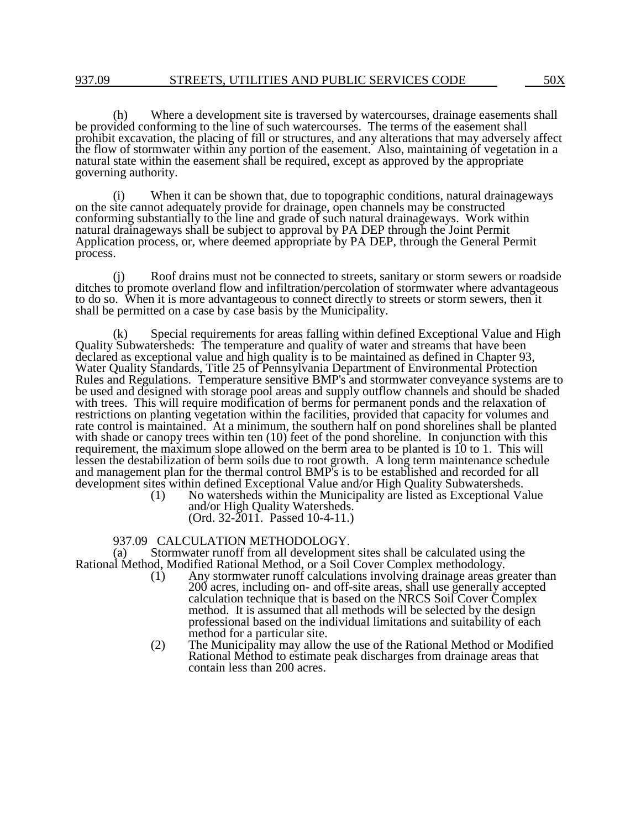(h) Where a development site is traversed by watercourses, drainage easements shall be provided conforming to the line of such watercourses. The terms of the easement shall prohibit excavation, the placing of fill or structures, and any alterations that may adversely affect the flow of stormwater within any portion of the easement. Also, maintaining of vegetation in a natural state within the easement shall be required, except as approved by the appropriate governing authority.

When it can be shown that, due to topographic conditions, natural drainageways on the site cannot adequately provide for drainage, open channels may be constructed conforming substantially to the line and grade of such natural drainageways. Work within natural drainageways shall be subject to approval by PA DEP through the Joint Permit Application process, or, where deemed appropriate by PA DEP, through the General Permit process.

(j) Roof drains must not be connected to streets, sanitary or storm sewers or roadside ditches to promote overland flow and infiltration/percolation of stormwater where advantageous to do so. When it is more advantageous to connect directly to streets or storm sewers, then it shall be permitted on a case by case basis by the Municipality.

(k) Special requirements for areas falling within defined Exceptional Value and High Quality Subwatersheds: The temperature and quality of water and streams that have been declared as exceptional value and high quality is to be maintained as defined in Chapter 93, Water Quality Standards, Title 25 of Pennsylvania Department of Environmental Protection Rules and Regulations. Temperature sensitive BMP's and stormwater conveyance systems are to be used and designed with storage pool areas and supply outflow channels and should be shaded with trees. This will require modification of berms for permanent ponds and the relaxation of restrictions on planting vegetation within the facilities, provided that capacity for volumes and rate control is maintained. At a minimum, the southern half on pond shorelines shall be planted with shade or canopy trees within ten (10) feet of the pond shoreline. In conjunction with this requirement, the maximum slope allowed on the berm area to be planted is 10 to 1. This will lessen the destabilization of berm soils due to root growth. A long term maintenance schedule and management plan for the thermal control BMP's is to be established and recorded for all development sites within defined Exceptional Value and/or High Quality Subwatersheds.<br>(1) No watersheds within the Municipality are listed as Exceptional Va

No watersheds within the Municipality are listed as Exceptional Value and/or High Quality Watersheds. (Ord. 32-2011. Passed 10-4-11.)

#### 937.09 CALCULATION METHODOLOGY.

(a) Stormwater runoff from all development sites shall be calculated using the Rational Method, Modified Rational Method, or a Soil Cover Complex methodology.

- (1) Any stormwater runoff calculations involving drainage areas greater than 200 acres, including on- and off-site areas, shall use generally accepted calculation technique that is based on the NRCS Soil Cover Complex method. It is assumed that all methods will be selected by the design professional based on the individual limitations and suitability of each method for a particular site.
- (2) The Municipality may allow the use of the Rational Method or Modified Rational Method to estimate peak discharges from drainage areas that contain less than 200 acres.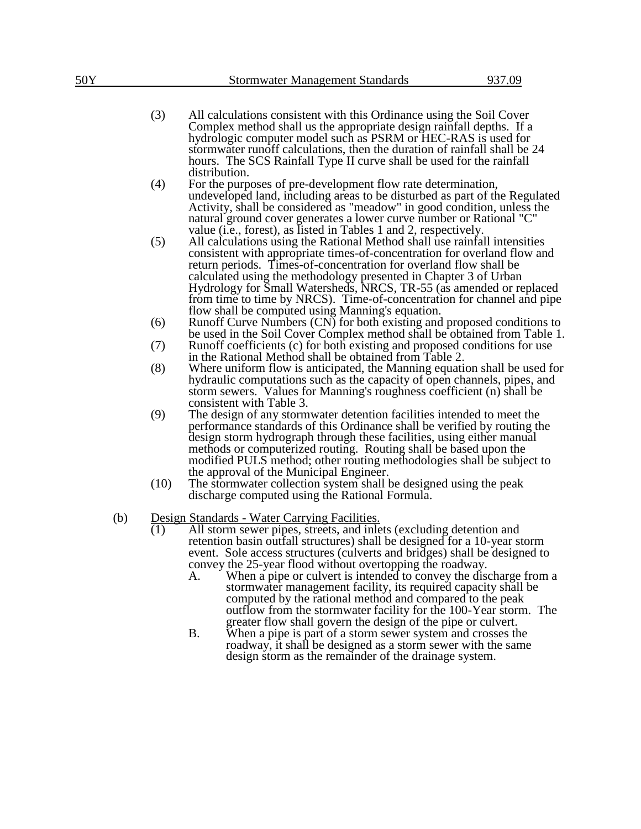- (3) All calculations consistent with this Ordinance using the Soil Cover Complex method shall us the appropriate design rainfall depths. If a hydrologic computer model such as PSRM or HEC-RAS is used for stormwater runoff calculations, then the duration of rainfall shall be 24 hours. The SCS Rainfall Type II curve shall be used for the rainfall distribution.
- (4) For the purposes of pre-development flow rate determination, undeveloped land, including areas to be disturbed as part of the Regulated Activity, shall be considered as "meadow" in good condition, unless the natural ground cover generates a lower curve number or Rational "C" value (i.e., forest), as listed in Tables 1 and 2, respectively.
- (5) All calculations using the Rational Method shall use rainfall intensities consistent with appropriate times-of-concentration for overland flow and return periods. Times-of-concentration for overland flow shall be calculated using the methodology presented in Chapter 3 of Urban Hydrology for Small Watersheds, NRCS, TR-55 (as amended or replaced from time to time by NRCS). Time-of-concentration for channel and pipe flow shall be computed using Manning's equation.
- (6) Runoff Curve Numbers (CN) for both existing and proposed conditions to be used in the Soil Cover Complex method shall be obtained from Table 1.
- (7) Runoff coefficients (c) for both existing and proposed conditions for use in the Rational Method shall be obtained from Table 2.
- (8) Where uniform flow is anticipated, the Manning equation shall be used for hydraulic computations such as the capacity of open channels, pipes, and storm sewers. Values for Manning's roughness coefficient (n) shall be consistent with Table 3.
- (9) The design of any stormwater detention facilities intended to meet the performance standards of this Ordinance shall be verified by routing the design storm hydrograph through these facilities, using either manual methods or computerized routing. Routing shall be based upon the modified PULS method; other routing methodologies shall be subject to the approval of the Municipal Engineer.
- (10) The stormwater collection system shall be designed using the peak discharge computed using the Rational Formula.
- (b) Design Standards Water Carrying Facilities.
	- (1) All storm sewer pipes, streets, and inlets (excluding detention and retention basin outfall structures) shall be designed for a 10-year storm event. Sole access structures (culverts and bridges) shall be designed to convey the 25-year flood without overtopping the roadway.
		- A. When a pipe or culvert is intended to convey the discharge from a stormwater management facility, its required capacity shall be computed by the rational method and compared to the peak outflow from the stormwater facility for the 100-Year storm. The greater flow shall govern the design of the pipe or culvert.
		- B. When a pipe is part of a storm sewer system and crosses the roadway, it shall be designed as a storm sewer with the same design storm as the remainder of the drainage system.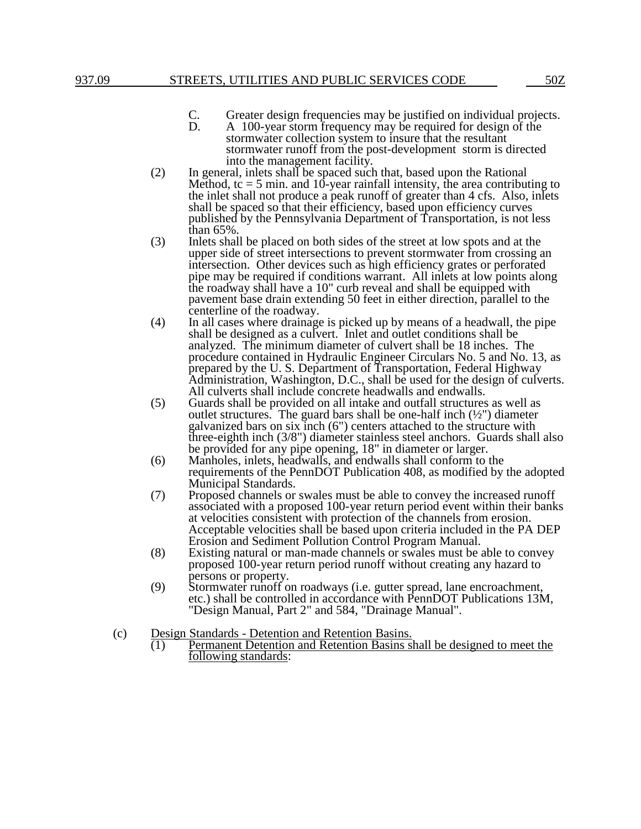- C. Greater design frequencies may be justified on individual projects.<br>D. A 100-year storm frequency may be required for design of the
- A 100-year storm frequency may be required for design of the stormwater collection system to insure that the resultant stormwater runoff from the post-development storm is directed into the management facility.
- (2) In general, inlets shall be spaced such that, based upon the Rational Method,  $tc = 5$  min. and 10-year rainfall intensity, the area contributing to the inlet shall not produce a peak runoff of greater than 4 cfs. Also, inlets shall be spaced so that their efficiency, based upon efficiency curves published by the Pennsylvania Department of Transportation, is not less than 65%.
- (3) Inlets shall be placed on both sides of the street at low spots and at the upper side of street intersections to prevent stormwater from crossing an intersection. Other devices such as high efficiency grates or perforated pipe may be required if conditions warrant. All inlets at low points along the roadway shall have a 10" curb reveal and shall be equipped with pavement base drain extending 50 feet in either direction, parallel to the centerline of the roadway.
- (4) In all cases where drainage is picked up by means of a headwall, the pipe shall be designed as a culvert. Inlet and outlet conditions shall be analyzed. The minimum diameter of culvert shall be 18 inches. The procedure contained in Hydraulic Engineer Circulars No. 5 and No. 13, as prepared by the U. S. Department of Transportation, Federal Highway Administration, Washington, D.C., shall be used for the design of culverts. All culverts shall include concrete headwalls and endwalls.
- (5) Guards shall be provided on all intake and outfall structures as well as outlet structures. The guard bars shall be one-half inch  $(\frac{1}{2})$  diameter galvanized bars on six inch (6") centers attached to the structure with three-eighth inch (3/8") diameter stainless steel anchors. Guards shall also be provided for any pipe opening, 18" in diameter or larger.
- (6) Manholes, inlets, headwalls, and endwalls shall conform to the requirements of the PennDOT Publication 408, as modified by the adopted Municipal Standards.
- (7) Proposed channels or swales must be able to convey the increased runoff associated with a proposed 100-year return period event within their banks at velocities consistent with protection of the channels from erosion. Acceptable velocities shall be based upon criteria included in the PA DEP Erosion and Sediment Pollution Control Program Manual.
- (8) Existing natural or man-made channels or swales must be able to convey proposed 100-year return period runoff without creating any hazard to persons or property.
- (9) Stormwater runoff on roadways (i.e. gutter spread, lane encroachment, etc.) shall be controlled in accordance with PennDOT Publications 13M, "Design Manual, Part 2" and 584, "Drainage Manual".
- (c) Design Standards Detention and Retention Basins.
	- $\overline{(1)}$  Permanent Detention and Retention Basins shall be designed to meet the following standards: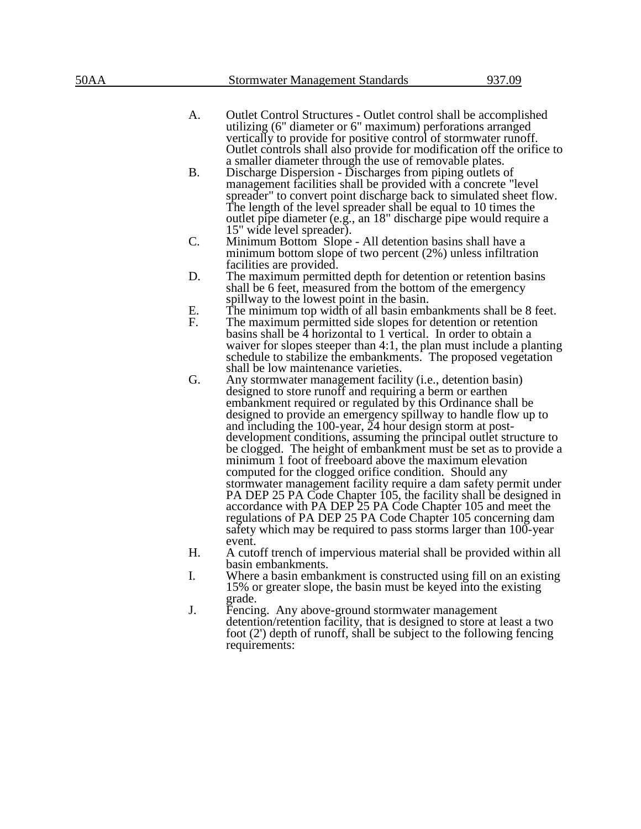- A. Outlet Control Structures Outlet control shall be accomplished utilizing (6" diameter or 6" maximum) perforations arranged vertically to provide for positive control of stormwater runoff. Outlet controls shall also provide for modification off the orifice to a smaller diameter through the use of removable plates.
- B. Discharge Dispersion Discharges from piping outlets of management facilities shall be provided with a concrete "level spreader" to convert point discharge back to simulated sheet flow. The length of the level spreader shall be equal to 10 times the outlet pipe diameter (e.g., an 18" discharge pipe would require a 15" wide level spreader).
- C. Minimum Bottom Slope All detention basins shall have a minimum bottom slope of two percent (2%) unless infiltration facilities are provided.
- D. The maximum permitted depth for detention or retention basins shall be 6 feet, measured from the bottom of the emergency spillway to the lowest point in the basin.
- E. The minimum top width of all basin embankments shall be 8 feet.
- F. The maximum permitted side slopes for detention or retention basins shall be 4 horizontal to 1 vertical. In order to obtain a waiver for slopes steeper than 4:1, the plan must include a planting schedule to stabilize the embankments. The proposed vegetation shall be low maintenance varieties.
- G. Any stormwater management facility (i.e., detention basin) designed to store runoff and requiring a berm or earthen embankment required or regulated by this Ordinance shall be designed to provide an emergency spillway to handle flow up to and including the 100-year, 24 hour design storm at postdevelopment conditions, assuming the principal outlet structure to be clogged. The height of embankment must be set as to provide a minimum 1 foot of freeboard above the maximum elevation computed for the clogged orifice condition. Should any stormwater management facility require a dam safety permit under PA DEP 25 PA Code Chapter 105, the facility shall be designed in accordance with PA DEP 25 PA Code Chapter 105 and meet the regulations of PA DEP 25 PA Code Chapter 105 concerning dam safety which may be required to pass storms larger than 100-year event.
- H. A cutoff trench of impervious material shall be provided within all basin embankments.
- I. Where a basin embankment is constructed using fill on an existing 15% or greater slope, the basin must be keyed into the existing grade.
- J. Fencing. Any above-ground stormwater management detention/retention facility, that is designed to store at least a two foot (2') depth of runoff, shall be subject to the following fencing requirements: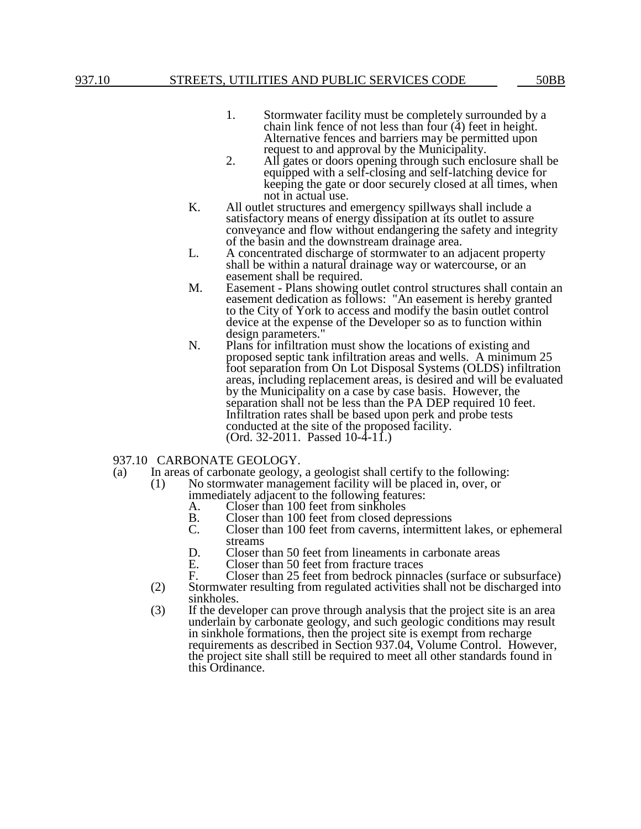- 1. Stormwater facility must be completely surrounded by a chain link fence of not less than four  $(4)$  feet in height. Alternative fences and barriers may be permitted upon request to and approval by the Municipality.
- 2. All gates or doors opening through such enclosure shall be equipped with a self-closing and self-latching device for keeping the gate or door securely closed at all times, when not in actual use.
- K. All outlet structures and emergency spillways shall include a satisfactory means of energy dissipation at its outlet to assure conveyance and flow without endangering the safety and integrity of the basin and the downstream drainage area.
- L. A concentrated discharge of stormwater to an adjacent property shall be within a natural drainage way or watercourse, or an easement shall be required.
- M. Easement Plans showing outlet control structures shall contain an easement dedication as follows: "An easement is hereby granted to the City of York to access and modify the basin outlet control device at the expense of the Developer so as to function within design parameters."
- N. Plans for infiltration must show the locations of existing and proposed septic tank infiltration areas and wells. A minimum 25 foot separation from On Lot Disposal Systems (OLDS) infiltration areas, including replacement areas, is desired and will be evaluated by the Municipality on a case by case basis. However, the separation shall not be less than the PA DEP required 10 feet. Infiltration rates shall be based upon perk and probe tests conducted at the site of the proposed facility. (Ord. 32-2011. Passed 10-4-11.)
- 937.10 CARBONATE GEOLOGY.
- (a) In areas of carbonate geology, a geologist shall certify to the following:
	- (1) No stormwater management facility will be placed in, over, or immediately adjacent to the following features:
		-
		- A. Closer than 100 feet from sinkholes<br>B. Closer than 100 feet from closed de
		- B. Closer than 100 feet from closed depressions<br>C. Closer than 100 feet from caverns, intermitter Closer than 100 feet from caverns, intermittent lakes, or ephemeral streams
		- D. Closer than 50 feet from lineaments in carbonate areas<br>E. Closer than 50 feet from fracture traces
		-
		- E. Closer than 50 feet from fracture traces<br>F. Closer than 25 feet from bedrock pinna F. Closer than 25 feet from bedrock pinnacles (surface or subsurface)
	- (2) Stormwater resulting from regulated activities shall not be discharged into sinkholes.
	- (3) If the developer can prove through analysis that the project site is an area underlain by carbonate geology, and such geologic conditions may result in sinkhole formations, then the project site is exempt from recharge requirements as described in Section 937.04, Volume Control. However, the project site shall still be required to meet all other standards found in this Ordinance.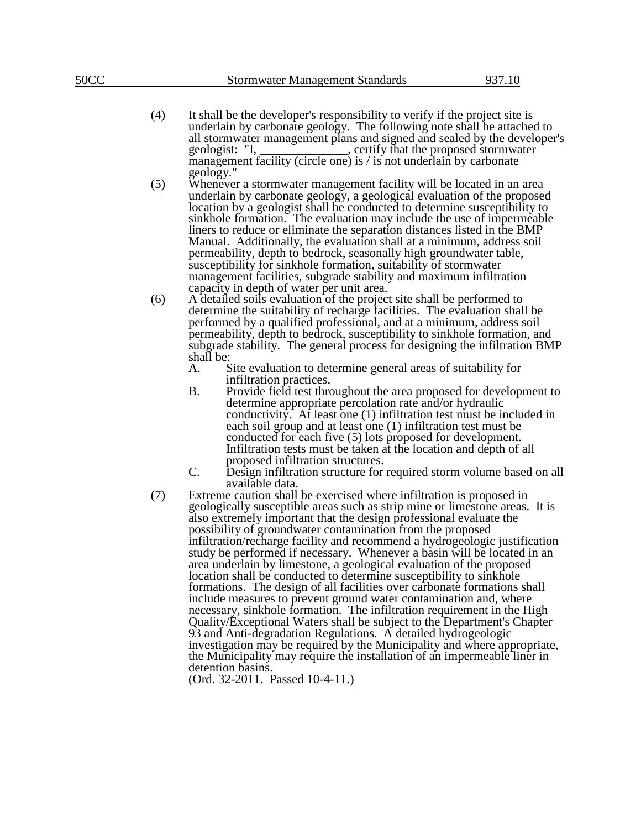- (4) It shall be the developer's responsibility to verify if the project site is underlain by carbonate geology. The following note shall be attached to all stormwater management plans and signed and sealed by the developer's geologist: "I, \_\_\_\_\_\_\_\_\_\_\_\_, certify that the proposed stormwater geometric settify that the proposed stormwater management facility (circle one) is / is not underlain by carbonate geology."
- (5) Whenever a stormwater management facility will be located in an area underlain by carbonate geology, a geological evaluation of the proposed location by a geologist shall be conducted to determine susceptibility to sinkhole formation. The evaluation may include the use of impermeable liners to reduce or eliminate the separation distances listed in the BMP Manual. Additionally, the evaluation shall at a minimum, address soil permeability, depth to bedrock, seasonally high groundwater table, susceptibility for sinkhole formation, suitability of stormwater management facilities, subgrade stability and maximum infiltration capacity in depth of water per unit area.
- (6) A detailed soils evaluation of the project site shall be performed to determine the suitability of recharge facilities. The evaluation shall be performed by a qualified professional, and at a minimum, address soil permeability, depth to bedrock, susceptibility to sinkhole formation, and subgrade stability. The general process for designing the infiltration BMP shall be:<br>A.
	- Site evaluation to determine general areas of suitability for infiltration practices.
	- B. Provide field test throughout the area proposed for development to determine appropriate percolation rate and/or hydraulic conductivity. At least one (1) infiltration test must be included in each soil group and at least one (1) infiltration test must be conducted for each five (5) lots proposed for development. Infiltration tests must be taken at the location and depth of all proposed infiltration structures.
	- C. Design infiltration structure for required storm volume based on all available data.
- (7) Extreme caution shall be exercised where infiltration is proposed in geologically susceptible areas such as strip mine or limestone areas. It is also extremely important that the design professional evaluate the possibility of groundwater contamination from the proposed infiltration/recharge facility and recommend a hydrogeologic justification study be performed if necessary. Whenever a basin will be located in an area underlain by limestone, a geological evaluation of the proposed location shall be conducted to determine susceptibility to sinkhole formations. The design of all facilities over carbonate formations shall include measures to prevent ground water contamination and, where necessary, sinkhole formation. The infiltration requirement in the High Quality/Exceptional Waters shall be subject to the Department's Chapter 93 and Anti-degradation Regulations. A detailed hydrogeologic investigation may be required by the Municipality and where appropriate, the Municipality may require the installation of an impermeable liner in detention basins.

(Ord. 32-2011. Passed 10-4-11.)